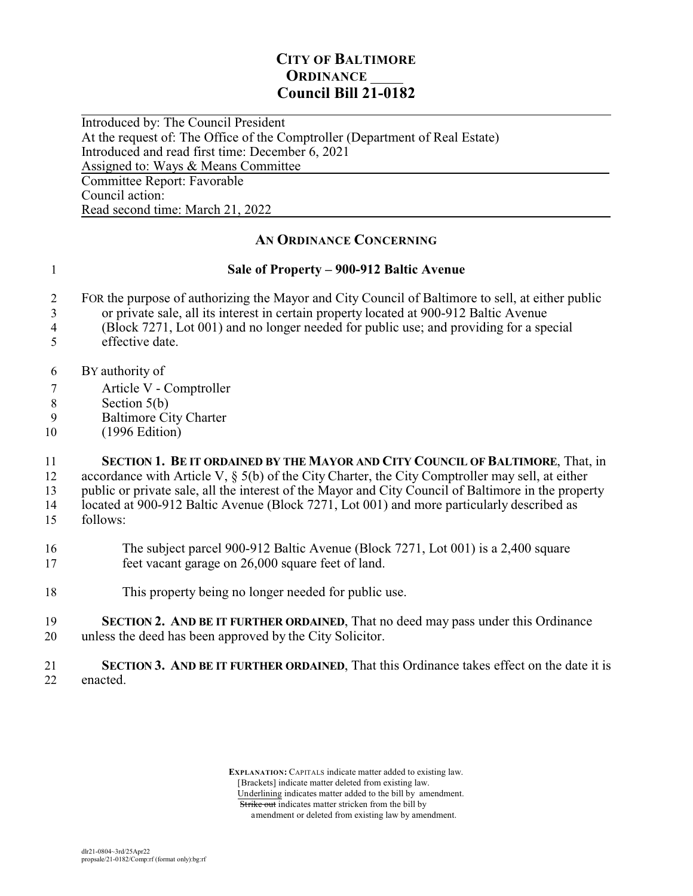## **CITY OF BALTIMORE ORDINANCE Council Bill 21-0182**

 $\overline{a}$ Introduced by: The Council President At the request of: The Office of the Comptroller (Department of Real Estate) Introduced and read first time: December 6, 2021 Assigned to: Ways & Means Committee Committee Report: Favorable Council action: Read second time: March 21, 2022

**AN ORDINANCE CONCERNING**

## 1 **Sale of Property – 900-912 Baltic Avenue**

- 2 FOR the purpose of authorizing the Mayor and City Council of Baltimore to sell, at either public
- 3 or private sale, all its interest in certain property located at 900-912 Baltic Avenue
- 4 (Block 7271, Lot 001) and no longer needed for public use; and providing for a special
- 5 effective date.
- 6 BY authority of
- 7 Article V Comptroller
- 8 Section 5(b)<br>9 Baltimore Ci
- Baltimore City Charter
- 10 (1996 Edition)

11 **SECTION 1. BE IT ORDAINED BY THE MAYOR AND CITY COUNCIL OF BALTIMORE**, That, in

12 accordance with Article V, § 5(b) of the City Charter, the City Comptroller may sell, at either 13 public or private sale, all the interest of the Mayor and City Council of Baltimore in the property

14 located at 900-912 Baltic Avenue (Block 7271, Lot 001) and more particularly described as

- 15 follows:
- 16 The subject parcel 900-912 Baltic Avenue (Block 7271, Lot 001) is a 2,400 square 17 feet vacant garage on 26,000 square feet of land.
- 18 This property being no longer needed for public use.
- 19 **SECTION 2. AND BE IT FURTHER ORDAINED**, That no deed may pass under this Ordinance 20 unless the deed has been approved by the City Solicitor.
- 21 **SECTION 3. AND BE IT FURTHER ORDAINED**, That this Ordinance takes effect on the date it is 22 enacted.

 **EXPLANATION:** CAPITALS indicate matter added to existing law. [Brackets] indicate matter deleted from existing law. Underlining indicates matter added to the bill by amendment. Strike out indicates matter stricken from the bill by amendment or deleted from existing law by amendment.